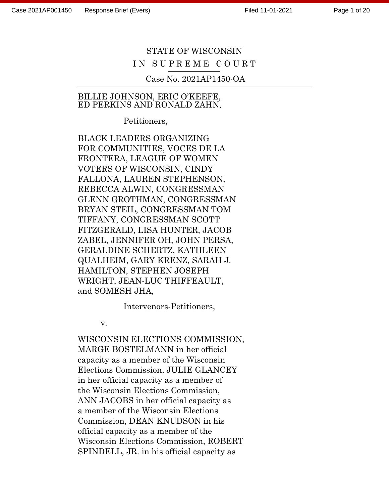Page 1 of 20

# STATE OF WISCONSIN IN SUPREME COURT

Case No. 2021AP1450-OA

#### BILLIE JOHNSON, ERIC O'KEEFE, ED PERKINS AND RONALD ZAHN,

Petitioners,

BLACK LEADERS ORGANIZING FOR COMMUNITIES, VOCES DE LA FRONTERA, LEAGUE OF WOMEN VOTERS OF WISCONSIN, CINDY FALLONA, LAUREN STEPHENSON, REBECCA ALWIN, CONGRESSMAN GLENN GROTHMAN, CONGRESSMAN BRYAN STEIL, CONGRESSMAN TOM TIFFANY, CONGRESSMAN SCOTT FITZGERALD, LISA HUNTER, JACOB ZABEL, JENNIFER OH, JOHN PERSA, GERALDINE SCHERTZ, KATHLEEN QUALHEIM, GARY KRENZ, SARAH J. HAMILTON, STEPHEN JOSEPH WRIGHT, JEAN-LUC THIFFEAULT, and SOMESH JHA,

Intervenors-Petitioners,

v.

WISCONSIN ELECTIONS COMMISSION, MARGE BOSTELMANN in her official capacity as a member of the Wisconsin Elections Commission, JULIE GLANCEY in her official capacity as a member of the Wisconsin Elections Commission, ANN JACOBS in her official capacity as a member of the Wisconsin Elections Commission, DEAN KNUDSON in his official capacity as a member of the Wisconsin Elections Commission, ROBERT SPINDELL, JR. in his official capacity as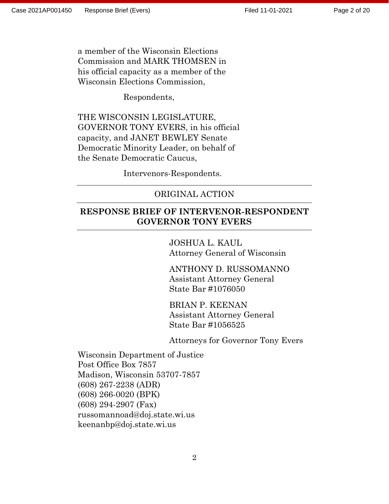Page 2 of 20

a member of the Wisconsin Elections Commission and MARK THOMSEN in his official capacity as a member of the Wisconsin Elections Commission,

Respondents,

THE WISCONSIN LEGISLATURE, GOVERNOR TONY EVERS, in his official capacity, and JANET BEWLEY Senate Democratic Minority Leader, on behalf of the Senate Democratic Caucus,

Intervenors-Respondents.

#### ORIGINAL ACTION

#### **RESPONSE BRIEF OF INTERVENOR-RESPONDENT GOVERNOR TONY EVERS**

JOSHUA L. KAUL Attorney General of Wisconsin

ANTHONY D. RUSSOMANNO Assistant Attorney General State Bar #1076050

BRIAN P. KEENAN Assistant Attorney General State Bar #1056525

Attorneys for Governor Tony Evers

Wisconsin Department of Justice Post Office Box 7857 Madison, Wisconsin 53707-7857 (608) 267-2238 (ADR) (608) 266-0020 (BPK) (608) 294-2907 (Fax) russomannoad@doj.state.wi.us keenanbp@doj.state.wi.us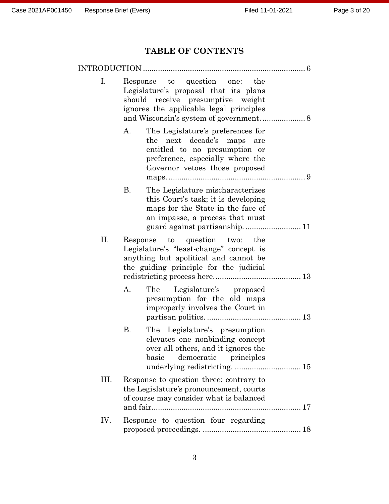# **TABLE OF CONTENTS**

|     | INTRODUCTION                                                                                                                                                                 |
|-----|------------------------------------------------------------------------------------------------------------------------------------------------------------------------------|
| Ι.  | Response to question one:<br>the<br>Legislature's proposal that its plans<br>should receive presumptive weight<br>ignores the applicable legal principles                    |
|     | А.<br>The Legislature's preferences for<br>the next decade's maps are<br>entitled to no presumption or<br>preference, especially where the<br>Governor vetoes those proposed |
|     | В.<br>The Legislature mischaracterizes<br>this Court's task; it is developing<br>maps for the State in the face of<br>an impasse, a process that must                        |
| П.  | Response to question two: the<br>Legislature's "least-change" concept is<br>anything but apolitical and cannot be<br>the guiding principle for the judicial                  |
|     | A.<br>Legislature's proposed<br>The<br>presumption for the old maps<br>improperly involves the Court in                                                                      |
|     | Β.<br>The Legislature's presumption<br>elevates one nonbinding concept<br>over all others, and it ignores the<br>basic democratic principles                                 |
| Ш.  | Response to question three: contrary to<br>the Legislature's pronouncement, courts<br>of course may consider what is balanced                                                |
| IV. | Response to question four regarding                                                                                                                                          |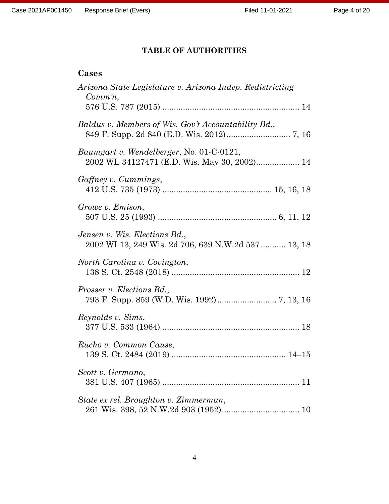# **TABLE OF AUTHORITIES**

### **Cases**

| Arizona State Legislature v. Arizona Indep. Redistricting<br>$Comm'n$ ,                  |
|------------------------------------------------------------------------------------------|
| Baldus v. Members of Wis. Gov't Accountability Bd.,                                      |
| Baumgart v. Wendelberger, No. 01-C-0121,<br>2002 WL 34127471 (E.D. Wis. May 30, 2002) 14 |
| Gaffney v. Cummings,                                                                     |
| Growe v. Emison,                                                                         |
| Jensen v. Wis. Elections Bd.,<br>2002 WI 13, 249 Wis. 2d 706, 639 N.W.2d 537 13, 18      |
| North Carolina v. Covington,                                                             |
| Prosser v. Elections Bd.,                                                                |
| Reynolds v. Sims,                                                                        |
| Rucho v. Common Cause,                                                                   |
| Scott v. Germano,                                                                        |
| State ex rel. Broughton v. Zimmerman,                                                    |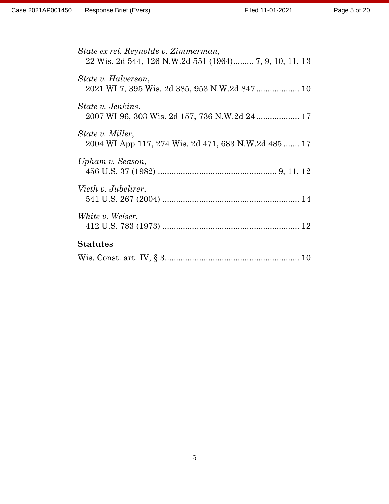| State ex rel. Reynolds v. Zimmerman,<br>22 Wis. 2d 544, 126 N.W.2d 551 (1964) 7, 9, 10, 11, 13 |
|------------------------------------------------------------------------------------------------|
| State v. Halverson,                                                                            |
| State v. Jenkins,<br>2007 WI 96, 303 Wis. 2d 157, 736 N.W.2d 24 17                             |
| State v. Miller,<br>2004 WI App 117, 274 Wis. 2d 471, 683 N.W.2d 485  17                       |
| Upham v. Season,                                                                               |
| Vieth v. Jubelirer,                                                                            |
| White v. Weiser,                                                                               |
| <b>Statutes</b>                                                                                |
|                                                                                                |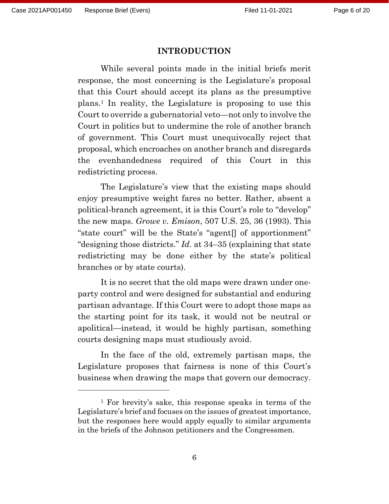#### **INTRODUCTION**

While several points made in the initial briefs merit response, the most concerning is the Legislature's proposal that this Court should accept its plans as the presumptive plans. <sup>1</sup> In reality, the Legislature is proposing to use this Court to override a gubernatorial veto—not only to involve the Court in politics but to undermine the role of another branch of government. This Court must unequivocally reject that proposal, which encroaches on another branch and disregards the evenhandedness required of this Court in this redistricting process.

The Legislature's view that the existing maps should enjoy presumptive weight fares no better. Rather, absent a political-branch agreement, it is this Court's role to "develop" the new maps. *Growe v. Emison*, 507 U.S. 25, 36 (1993). This "state court" will be the State's "agent[] of apportionment" "designing those districts." *Id.* at 34–35 (explaining that state redistricting may be done either by the state's political branches or by state courts).

It is no secret that the old maps were drawn under oneparty control and were designed for substantial and enduring partisan advantage. If this Court were to adopt those maps as the starting point for its task, it would not be neutral or apolitical—instead, it would be highly partisan, something courts designing maps must studiously avoid.

In the face of the old, extremely partisan maps, the Legislature proposes that fairness is none of this Court's business when drawing the maps that govern our democracy.

<sup>1</sup> For brevity's sake, this response speaks in terms of the Legislature's brief and focuses on the issues of greatest importance, but the responses here would apply equally to similar arguments in the briefs of the Johnson petitioners and the Congressmen.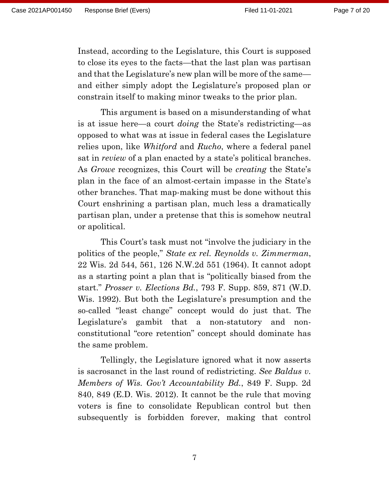Instead, according to the Legislature, this Court is supposed to close its eyes to the facts—that the last plan was partisan and that the Legislature's new plan will be more of the same and either simply adopt the Legislature's proposed plan or constrain itself to making minor tweaks to the prior plan.

This argument is based on a misunderstanding of what is at issue here—a court *doing* the State's redistricting—as opposed to what was at issue in federal cases the Legislature relies upon, like *Whitford* and *Rucho*, where a federal panel sat in *review* of a plan enacted by a state's political branches. As *Growe* recognizes, this Court will be *creating* the State's plan in the face of an almost-certain impasse in the State's other branches. That map-making must be done without this Court enshrining a partisan plan, much less a dramatically partisan plan, under a pretense that this is somehow neutral or apolitical.

This Court's task must not "involve the judiciary in the politics of the people," *State ex rel. Reynolds v. Zimmerman*, 22 Wis. 2d 544, 561, 126 N.W.2d 551 (1964). It cannot adopt as a starting point a plan that is "politically biased from the start." *Prosser v. Elections Bd.*, 793 F. Supp. 859, 871 (W.D. Wis. 1992). But both the Legislature's presumption and the so-called "least change" concept would do just that. The Legislature's gambit that a non-statutory and nonconstitutional "core retention" concept should dominate has the same problem.

Tellingly, the Legislature ignored what it now asserts is sacrosanct in the last round of redistricting. *See Baldus v. Members of Wis. Gov't Accountability Bd.*, 849 F. Supp. 2d 840, 849 (E.D. Wis. 2012). It cannot be the rule that moving voters is fine to consolidate Republican control but then subsequently is forbidden forever, making that control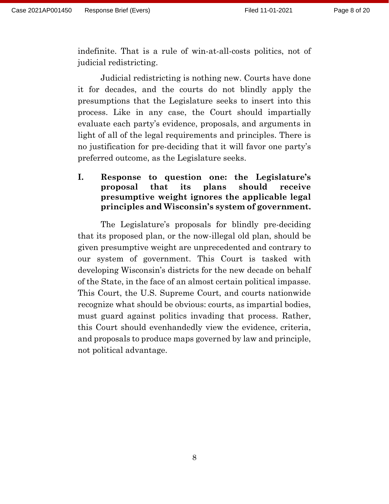indefinite. That is a rule of win-at-all-costs politics, not of judicial redistricting.

Judicial redistricting is nothing new. Courts have done it for decades, and the courts do not blindly apply the presumptions that the Legislature seeks to insert into this process. Like in any case, the Court should impartially evaluate each party's evidence, proposals, and arguments in light of all of the legal requirements and principles. There is no justification for pre-deciding that it will favor one party's preferred outcome, as the Legislature seeks.

### **I. Response to question one: the Legislature's proposal that its plans should receive presumptive weight ignores the applicable legal principles and Wisconsin's system of government.**

The Legislature's proposals for blindly pre-deciding that its proposed plan, or the now-illegal old plan, should be given presumptive weight are unprecedented and contrary to our system of government. This Court is tasked with developing Wisconsin's districts for the new decade on behalf of the State, in the face of an almost certain political impasse. This Court, the U.S. Supreme Court, and courts nationwide recognize what should be obvious: courts, as impartial bodies, must guard against politics invading that process. Rather, this Court should evenhandedly view the evidence, criteria, and proposals to produce maps governed by law and principle, not political advantage.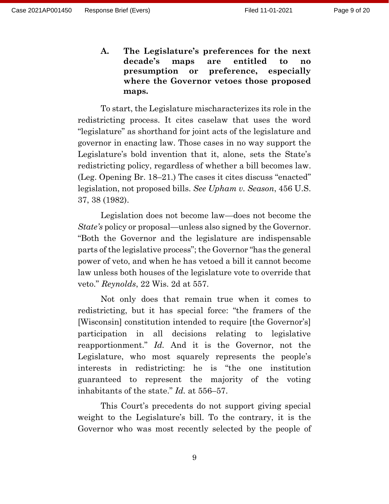**A. The Legislature's preferences for the next decade's maps are entitled to no presumption or preference, especially where the Governor vetoes those proposed maps.** 

To start, the Legislature mischaracterizes its role in the redistricting process. It cites caselaw that uses the word "legislature" as shorthand for joint acts of the legislature and governor in enacting law. Those cases in no way support the Legislature's bold invention that it, alone, sets the State's redistricting policy, regardless of whether a bill becomes law. (Leg. Opening Br. 18–21.) The cases it cites discuss "enacted" legislation, not proposed bills. *See Upham v. Season*, 456 U.S. 37, 38 (1982).

Legislation does not become law—does not become the *State's* policy or proposal—unless also signed by the Governor. "Both the Governor and the legislature are indispensable parts of the legislative process"; the Governor "has the general power of veto, and when he has vetoed a bill it cannot become law unless both houses of the legislature vote to override that veto." *Reynolds*, 22 Wis. 2d at 557.

Not only does that remain true when it comes to redistricting, but it has special force: "the framers of the [Wisconsin] constitution intended to require [the Governor's] participation in all decisions relating to legislative reapportionment." *Id.* And it is the Governor, not the Legislature, who most squarely represents the people's interests in redistricting: he is "the one institution guaranteed to represent the majority of the voting inhabitants of the state." *Id.* at 556–57.

This Court's precedents do not support giving special weight to the Legislature's bill. To the contrary, it is the Governor who was most recently selected by the people of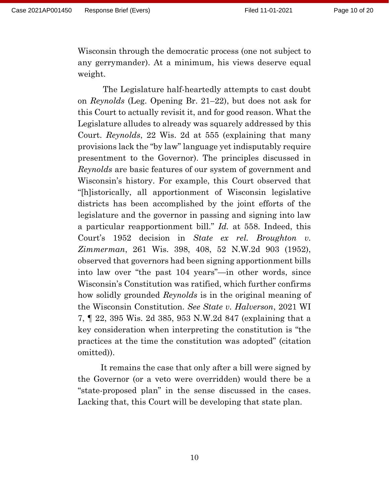Wisconsin through the democratic process (one not subject to any gerrymander). At a minimum, his views deserve equal weight.

The Legislature half-heartedly attempts to cast doubt on *Reynolds* (Leg. Opening Br. 21–22), but does not ask for this Court to actually revisit it, and for good reason. What the Legislature alludes to already was squarely addressed by this Court. *Reynolds*, 22 Wis. 2d at 555 (explaining that many provisions lack the "by law" language yet indisputably require presentment to the Governor). The principles discussed in *Reynolds* are basic features of our system of government and Wisconsin's history. For example, this Court observed that "[h]istorically, all apportionment of Wisconsin legislative districts has been accomplished by the joint efforts of the legislature and the governor in passing and signing into law a particular reapportionment bill." *Id.* at 558. Indeed, this Court's 1952 decision in *State ex rel. Broughton v. Zimmerman*, 261 Wis. 398, 408, 52 N.W.2d 903 (1952), observed that governors had been signing apportionment bills into law over "the past 104 years"—in other words, since Wisconsin's Constitution was ratified, which further confirms how solidly grounded *Reynolds* is in the original meaning of the Wisconsin Constitution. *See State v. Halverson*, 2021 WI 7, ¶ 22, 395 Wis. 2d 385, 953 N.W.2d 847 (explaining that a key consideration when interpreting the constitution is "the practices at the time the constitution was adopted" (citation omitted)).

It remains the case that only after a bill were signed by the Governor (or a veto were overridden) would there be a "state-proposed plan" in the sense discussed in the cases. Lacking that, this Court will be developing that state plan.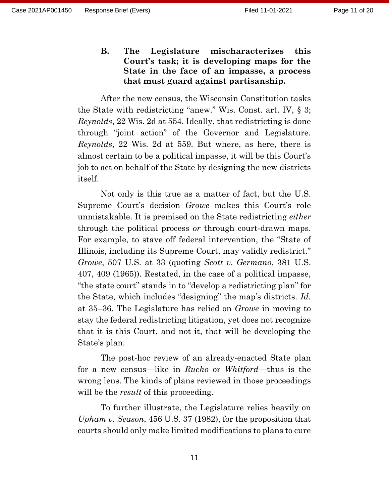**B. The Legislature mischaracterizes this Court's task; it is developing maps for the State in the face of an impasse, a process that must guard against partisanship.**

After the new census, the Wisconsin Constitution tasks the State with redistricting "anew." Wis. Const. art. IV, § 3; *Reynolds*, 22 Wis. 2d at 554. Ideally, that redistricting is done through "joint action" of the Governor and Legislature. *Reynolds*, 22 Wis. 2d at 559. But where, as here, there is almost certain to be a political impasse, it will be this Court's job to act on behalf of the State by designing the new districts itself.

Not only is this true as a matter of fact, but the U.S. Supreme Court's decision *Growe* makes this Court's role unmistakable. It is premised on the State redistricting *either* through the political process *or* through court-drawn maps. For example, to stave off federal intervention, the "State of Illinois, including its Supreme Court, may validly redistrict." *Growe*, 507 U.S. at 33 (quoting *Scott v. Germano*, 381 U.S. 407, 409 (1965)). Restated, in the case of a political impasse, "the state court" stands in to "develop a redistricting plan" for the State, which includes "designing" the map's districts. *Id.* at 35–36. The Legislature has relied on *Growe* in moving to stay the federal redistricting litigation, yet does not recognize that it is this Court, and not it, that will be developing the State's plan.

The post-hoc review of an already-enacted State plan for a new census—like in *Rucho* or *Whitford*—thus is the wrong lens. The kinds of plans reviewed in those proceedings will be the *result* of this proceeding.

To further illustrate, the Legislature relies heavily on *Upham v. Season*, 456 U.S. 37 (1982), for the proposition that courts should only make limited modifications to plans to cure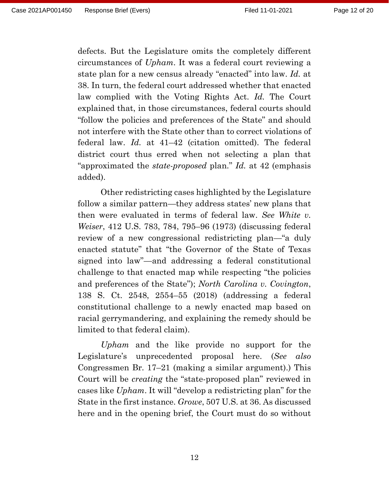defects. But the Legislature omits the completely different circumstances of *Upham*. It was a federal court reviewing a state plan for a new census already "enacted" into law. *Id.* at 38. In turn, the federal court addressed whether that enacted law complied with the Voting Rights Act. *Id.* The Court explained that, in those circumstances, federal courts should "follow the policies and preferences of the State" and should not interfere with the State other than to correct violations of federal law. *Id.* at 41–42 (citation omitted). The federal district court thus erred when not selecting a plan that "approximated the *state-proposed* plan." *Id.* at 42 (emphasis added).

Other redistricting cases highlighted by the Legislature follow a similar pattern—they address states' new plans that then were evaluated in terms of federal law. *See White v. Weiser*, 412 U.S. 783, 784, 795–96 (1973) (discussing federal review of a new congressional redistricting plan—"a duly enacted statute" that "the Governor of the State of Texas signed into law"—and addressing a federal constitutional challenge to that enacted map while respecting "the policies and preferences of the State"); *North Carolina v. Covington*, 138 S. Ct. 2548, 2554–55 (2018) (addressing a federal constitutional challenge to a newly enacted map based on racial gerrymandering, and explaining the remedy should be limited to that federal claim).

*Upham* and the like provide no support for the Legislature's unprecedented proposal here. (*See also* Congressmen Br. 17–21 (making a similar argument).) This Court will be *creating* the "state-proposed plan" reviewed in cases like *Upham*. It will "develop a redistricting plan" for the State in the first instance. *Growe*, 507 U.S. at 36. As discussed here and in the opening brief, the Court must do so without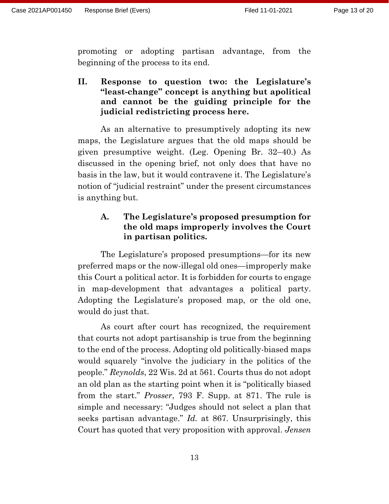promoting or adopting partisan advantage, from the beginning of the process to its end.

<span id="page-12-0"></span>**II. Response to question two: the Legislature's "least-change" concept is anything but apolitical and cannot be the guiding principle for the judicial redistricting process here.**

As an alternative to presumptively adopting its new maps, the Legislature argues that the old maps should be given presumptive weight. (Leg. Opening Br. 32–40.) As discussed in the opening brief, not only does that have no basis in the law, but it would contravene it. The Legislature's notion of "judicial restraint" under the present circumstances is anything but.

## <span id="page-12-1"></span>**A. The Legislature's proposed presumption for the old maps improperly involves the Court in partisan politics.**

The Legislature's proposed presumptions—for its new preferred maps or the now-illegal old ones—improperly make this Court a political actor. It is forbidden for courts to engage in map-development that advantages a political party. Adopting the Legislature's proposed map, or the old one, would do just that.

As court after court has recognized, the requirement that courts not adopt partisanship is true from the beginning to the end of the process. Adopting old politically-biased maps would squarely "involve the judiciary in the politics of the people." *Reynolds*, 22 Wis. 2d at 561. Courts thus do not adopt an old plan as the starting point when it is "politically biased from the start." *Prosser*, 793 F. Supp. at 871. The rule is simple and necessary: "Judges should not select a plan that seeks partisan advantage." *Id.* at 867. Unsurprisingly, this Court has quoted that very proposition with approval. *Jensen*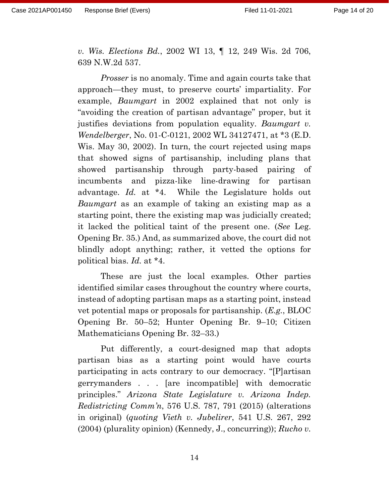*v. Wis. Elections Bd.*, 2002 WI 13, ¶ 12, 249 Wis. 2d 706, 639 N.W.2d 537.

*Prosser* is no anomaly. Time and again courts take that approach—they must, to preserve courts' impartiality. For example, *Baumgart* in 2002 explained that not only is "avoiding the creation of partisan advantage" proper, but it justifies deviations from population equality. *Baumgart v. Wendelberger*, No. 01-C-0121, 2002 WL 34127471, at \*3 (E.D. Wis. May 30, 2002). In turn, the court rejected using maps that showed signs of partisanship, including plans that showed partisanship through party-based pairing of incumbents and pizza-like line-drawing for partisan advantage. *Id.* at \*4. While the Legislature holds out *Baumgart* as an example of taking an existing map as a starting point, there the existing map was judicially created; it lacked the political taint of the present one. (*See* Leg. Opening Br. 35.) And, as summarized above, the court did not blindly adopt anything; rather, it vetted the options for political bias. *Id.* at \*4.

These are just the local examples. Other parties identified similar cases throughout the country where courts, instead of adopting partisan maps as a starting point, instead vet potential maps or proposals for partisanship. (*E.g.*, BLOC Opening Br. 50–52; Hunter Opening Br. 9–10; Citizen Mathematicians Opening Br. 32–33.)

Put differently, a court-designed map that adopts partisan bias as a starting point would have courts participating in acts contrary to our democracy. "[P]artisan gerrymanders . . . [are incompatible] with democratic principles." *Arizona State Legislature v. Arizona Indep. Redistricting Comm'n*, 576 U.S. 787, 791 (2015) (alterations in original) (*quoting Vieth v. Jubelirer*, 541 U.S. 267, 292 (2004) (plurality opinion) (Kennedy, J., concurring)); *Rucho v.*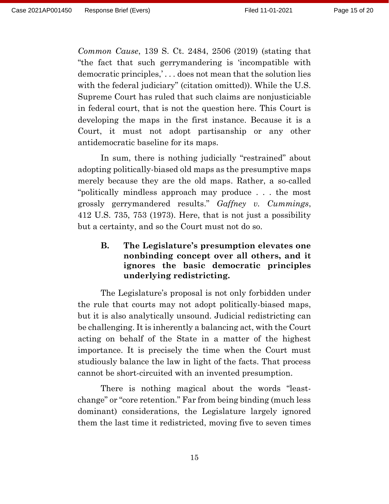*Common Cause*, 139 S. Ct. 2484, 2506 (2019) (stating that "the fact that such gerrymandering is 'incompatible with democratic principles,' . . . does not mean that the solution lies with the federal judiciary" (citation omitted)). While the U.S. Supreme Court has ruled that such claims are nonjusticiable in federal court, that is not the question here. This Court is developing the maps in the first instance. Because it is a Court, it must not adopt partisanship or any other antidemocratic baseline for its maps.

In sum, there is nothing judicially "restrained" about adopting politically-biased old maps as the presumptive maps merely because they are the old maps. Rather, a so-called "politically mindless approach may produce . . . the most grossly gerrymandered results." *Gaffney v. Cummings*, 412 U.S. 735, 753 (1973). Here, that is not just a possibility but a certainty, and so the Court must not do so.

### <span id="page-14-0"></span>**B. The Legislature's presumption elevates one nonbinding concept over all others, and it ignores the basic democratic principles underlying redistricting.**

The Legislature's proposal is not only forbidden under the rule that courts may not adopt politically-biased maps, but it is also analytically unsound. Judicial redistricting can be challenging. It is inherently a balancing act, with the Court acting on behalf of the State in a matter of the highest importance. It is precisely the time when the Court must studiously balance the law in light of the facts. That process cannot be short-circuited with an invented presumption.

There is nothing magical about the words "leastchange" or "core retention." Far from being binding (much less dominant) considerations, the Legislature largely ignored them the last time it redistricted, moving five to seven times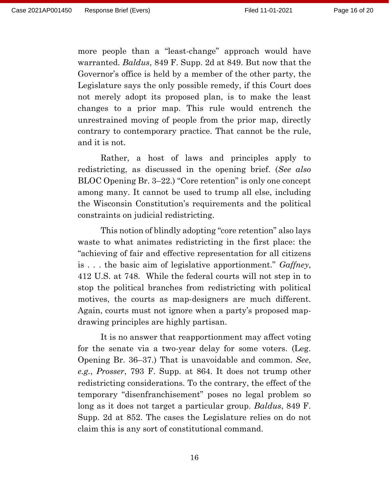more people than a "least-change" approach would have warranted. *Baldus*, 849 F. Supp. 2d at 849. But now that the Governor's office is held by a member of the other party, the Legislature says the only possible remedy, if this Court does not merely adopt its proposed plan, is to make the least changes to a prior map. This rule would entrench the unrestrained moving of people from the prior map, directly contrary to contemporary practice. That cannot be the rule, and it is not.

Rather, a host of laws and principles apply to redistricting, as discussed in the opening brief. (*See also* BLOC Opening Br. 3–22.) "Core retention" is only one concept among many. It cannot be used to trump all else, including the Wisconsin Constitution's requirements and the political constraints on judicial redistricting.

This notion of blindly adopting "core retention" also lays waste to what animates redistricting in the first place: the "achieving of fair and effective representation for all citizens is . . . the basic aim of legislative apportionment." *Gaffney*, 412 U.S. at 748. While the federal courts will not step in to stop the political branches from redistricting with political motives, the courts as map-designers are much different. Again, courts must not ignore when a party's proposed mapdrawing principles are highly partisan.

It is no answer that reapportionment may affect voting for the senate via a two-year delay for some voters. (Leg. Opening Br. 36–37.) That is unavoidable and common. *See*, *e.g.*, *Prosser*, 793 F. Supp. at 864. It does not trump other redistricting considerations. To the contrary, the effect of the temporary "disenfranchisement" poses no legal problem so long as it does not target a particular group. *Baldus*, 849 F. Supp. 2d at 852. The cases the Legislature relies on do not claim this is any sort of constitutional command.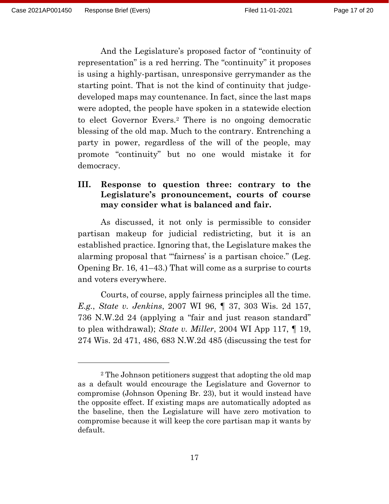And the Legislature's proposed factor of "continuity of representation" is a red herring. The "continuity" it proposes is using a highly-partisan, unresponsive gerrymander as the starting point. That is not the kind of continuity that judgedeveloped maps may countenance. In fact, since the last maps were adopted, the people have spoken in a statewide election to elect Governor Evers.<sup>2</sup> There is no ongoing democratic blessing of the old map. Much to the contrary. Entrenching a party in power, regardless of the will of the people, may promote "continuity" but no one would mistake it for democracy.

#### <span id="page-16-0"></span>**III. Response to question three: contrary to the Legislature's pronouncement, courts of course may consider what is balanced and fair.**

As discussed, it not only is permissible to consider partisan makeup for judicial redistricting, but it is an established practice. Ignoring that, the Legislature makes the alarming proposal that "'fairness' is a partisan choice." (Leg. Opening Br. 16, 41–43.) That will come as a surprise to courts and voters everywhere.

Courts, of course, apply fairness principles all the time. *E.g.*, *State v. Jenkins*, 2007 WI 96, ¶ 37, 303 Wis. 2d 157, 736 N.W.2d 24 (applying a "fair and just reason standard" to plea withdrawal); *State v. Miller*, 2004 WI App 117, ¶ 19, 274 Wis. 2d 471, 486, 683 N.W.2d 485 (discussing the test for

<sup>2</sup> The Johnson petitioners suggest that adopting the old map as a default would encourage the Legislature and Governor to compromise (Johnson Opening Br. 23), but it would instead have the opposite effect. If existing maps are automatically adopted as the baseline, then the Legislature will have zero motivation to compromise because it will keep the core partisan map it wants by default.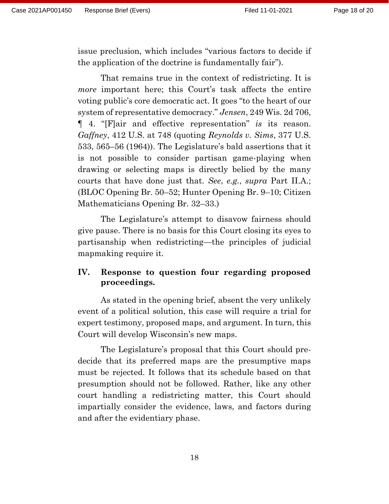issue preclusion, which includes "various factors to decide if the application of the doctrine is fundamentally fair").

That remains true in the context of redistricting. It is *more* important here; this Court's task affects the entire voting public's core democratic act. It goes "to the heart of our system of representative democracy." *Jensen*, 249 Wis. 2d 706, ¶ 4. "[F]air and effective representation" *is* its reason. *Gaffney*, 412 U.S. at 748 (quoting *Reynolds v. Sims*, 377 U.S. 533, 565–56 (1964)). The Legislature's bald assertions that it is not possible to consider partisan game-playing when drawing or selecting maps is directly belied by the many courts that have done just that. *See*, *e.g.*, *supra* Part II.A.; (BLOC Opening Br. 50–52; Hunter Opening Br. 9–10; Citizen Mathematicians Opening Br. 32–33.)

The Legislature's attempt to disavow fairness should give pause. There is no basis for this Court closing its eyes to partisanship when redistricting—the principles of judicial mapmaking require it.

### <span id="page-17-0"></span>**IV. Response to question four regarding proposed proceedings.**

As stated in the opening brief, absent the very unlikely event of a political solution, this case will require a trial for expert testimony, proposed maps, and argument. In turn, this Court will develop Wisconsin's new maps.

The Legislature's proposal that this Court should predecide that its preferred maps are the presumptive maps must be rejected. It follows that its schedule based on that presumption should not be followed. Rather, like any other court handling a redistricting matter, this Court should impartially consider the evidence, laws, and factors during and after the evidentiary phase.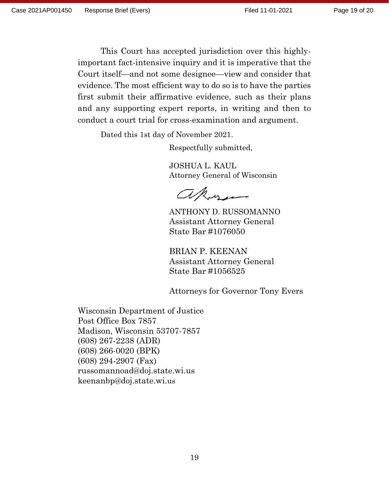This Court has accepted jurisdiction over this highlyimportant fact-intensive inquiry and it is imperative that the Court itself—and not some designee—view and consider that evidence. The most efficient way to do so is to have the parties first submit their affirmative evidence, such as their plans and any supporting expert reports, in writing and then to conduct a court trial for cross-examination and argument.

Dated this 1st day of November 2021.

Respectfully submitted,

JOSHUA L. KAUL Attorney General of Wisconsin

akos

ANTHONY D. RUSSOMANNO Assistant Attorney General State Bar #1076050

BRIAN P. KEENAN Assistant Attorney General State Bar #1056525

Attorneys for Governor Tony Evers

Wisconsin Department of Justice Post Office Box 7857 Madison, Wisconsin 53707-7857 (608) 267-2238 (ADR) (608) 266-0020 (BPK) (608) 294-2907 (Fax) russomannoad@doj.state.wi.us keenanbp@doj.state.wi.us